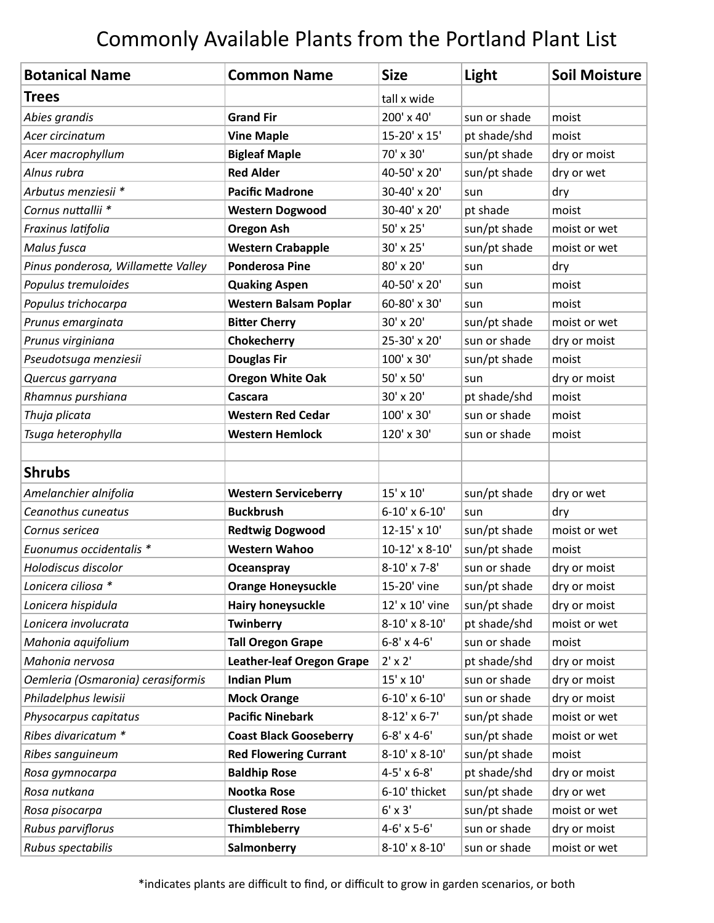## Commonly Available Plants from the Portland Plant List

| <b>Botanical Name</b>              | <b>Common Name</b>               | <b>Size</b>         | Light        | <b>Soil Moisture</b> |
|------------------------------------|----------------------------------|---------------------|--------------|----------------------|
| <b>Trees</b>                       |                                  | tall x wide         |              |                      |
| Abies grandis                      | <b>Grand Fir</b>                 | 200' x 40'          | sun or shade | moist                |
| Acer circinatum                    | <b>Vine Maple</b>                | 15-20' x 15'        | pt shade/shd | moist                |
| Acer macrophyllum                  | <b>Bigleaf Maple</b>             | 70' x 30'           | sun/pt shade | dry or moist         |
| Alnus rubra                        | <b>Red Alder</b>                 | 40-50' x 20'        | sun/pt shade | dry or wet           |
| Arbutus menziesii *                | <b>Pacific Madrone</b>           | 30-40' x 20'        | sun          | dry                  |
| Cornus nuttallii <sup>*</sup>      | <b>Western Dogwood</b>           | 30-40' x 20'        | pt shade     | moist                |
| Fraxinus latifolia                 | <b>Oregon Ash</b>                | 50' x 25'           | sun/pt shade | moist or wet         |
| Malus fusca                        | <b>Western Crabapple</b>         | 30' x 25'           | sun/pt shade | moist or wet         |
| Pinus ponderosa, Willamette Valley | <b>Ponderosa Pine</b>            | 80' x 20'           | sun          | dry                  |
| Populus tremuloides                | <b>Quaking Aspen</b>             | 40-50' x 20'        | sun          | moist                |
| Populus trichocarpa                | <b>Western Balsam Poplar</b>     | 60-80' x 30'        | sun          | moist                |
| Prunus emarginata                  | <b>Bitter Cherry</b>             | 30' x 20'           | sun/pt shade | moist or wet         |
| Prunus virginiana                  | Chokecherry                      | 25-30' x 20'        | sun or shade | dry or moist         |
| Pseudotsuga menziesii              | <b>Douglas Fir</b>               | 100' x 30'          | sun/pt shade | moist                |
| Quercus garryana                   | <b>Oregon White Oak</b>          | 50' x 50'           | sun          | dry or moist         |
| Rhamnus purshiana                  | Cascara                          | 30' x 20'           | pt shade/shd | moist                |
| Thuja plicata                      | <b>Western Red Cedar</b>         | 100' x 30'          | sun or shade | moist                |
| Tsuga heterophylla                 | <b>Western Hemlock</b>           | 120' x 30'          | sun or shade | moist                |
|                                    |                                  |                     |              |                      |
| <b>Shrubs</b>                      |                                  |                     |              |                      |
| Amelanchier alnifolia              | <b>Western Serviceberry</b>      | 15' x 10'           | sun/pt shade | dry or wet           |
| Ceanothus cuneatus                 | <b>Buckbrush</b>                 | 6-10' x 6-10'       | sun          | dry                  |
| Cornus sericea                     | <b>Redtwig Dogwood</b>           | 12-15' x 10'        | sun/pt shade | moist or wet         |
| Euonumus occidentalis *            | <b>Western Wahoo</b>             | 10-12' x 8-10'      | sun/pt shade | moist                |
| Holodiscus discolor                | <b>Oceanspray</b>                | 8-10' x 7-8'        | sun or shade | dry or moist         |
| Lonicera ciliosa *                 | <b>Orange Honeysuckle</b>        | 15-20' vine         | sun/pt shade | dry or moist         |
| Lonicera hispidula                 | <b>Hairy honeysuckle</b>         | 12' x 10' vine      | sun/pt shade | dry or moist         |
| Lonicera involucrata               | Twinberry                        | 8-10' x 8-10'       | pt shade/shd | moist or wet         |
| Mahonia aquifolium                 | <b>Tall Oregon Grape</b>         | $6 - 8'$ x 4-6'     | sun or shade | moist                |
| Mahonia nervosa                    | <b>Leather-leaf Oregon Grape</b> | $2' \times 2'$      | pt shade/shd | dry or moist         |
| Oemleria (Osmaronia) cerasiformis  | <b>Indian Plum</b>               | 15' x 10'           | sun or shade | dry or moist         |
| Philadelphus lewisii               | <b>Mock Orange</b>               | 6-10' x 6-10'       | sun or shade | dry or moist         |
| Physocarpus capitatus              | <b>Pacific Ninebark</b>          | $8-12' \times 6-7'$ | sun/pt shade | moist or wet         |
| Ribes divaricatum *                | <b>Coast Black Gooseberry</b>    | $6 - 8'$ x 4-6'     | sun/pt shade | moist or wet         |
| Ribes sanguineum                   | <b>Red Flowering Currant</b>     | 8-10' x 8-10'       | sun/pt shade | moist                |
| Rosa gymnocarpa                    | <b>Baldhip Rose</b>              | 4-5' x 6-8'         | pt shade/shd | dry or moist         |
| Rosa nutkana                       | Nootka Rose                      | 6-10' thicket       | sun/pt shade | dry or wet           |
| Rosa pisocarpa                     | <b>Clustered Rose</b>            | $6' \times 3'$      | sun/pt shade | moist or wet         |
| Rubus parviflorus                  | Thimbleberry                     | 4-6' x 5-6'         | sun or shade | dry or moist         |
| Rubus spectabilis                  | Salmonberry                      | 8-10' x 8-10'       | sun or shade | moist or wet         |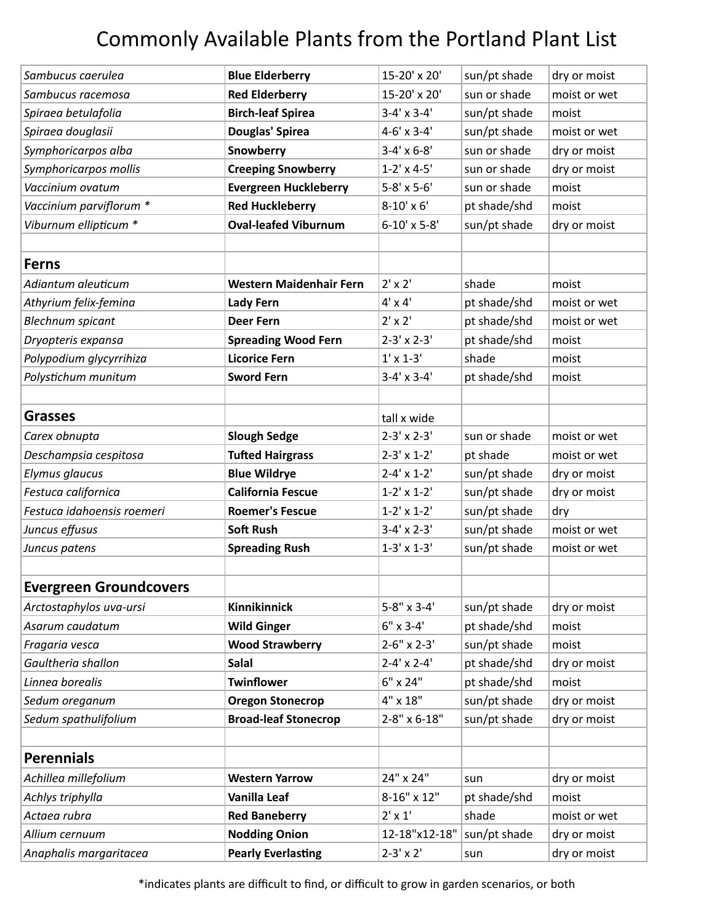## Commonly Available Plants from the Portland Plant List

| 15-20' x 20'<br>Sambucus racemosa<br><b>Red Elderberry</b><br>sun or shade<br>moist or wet<br><b>Birch-leaf Spirea</b><br>$3-4' \times 3-4'$<br>sun/pt shade<br>Spiraea betulafolia<br>moist<br>Spiraea douglasii<br>Douglas' Spirea<br>moist or wet<br>$4-6'$ x $3-4'$<br>sun/pt shade<br>Symphoricarpos alba<br>Snowberry<br>$3-4' \times 6-8'$<br>sun or shade<br>dry or moist<br>dry or moist<br>Symphoricarpos mollis<br><b>Creeping Snowberry</b><br>$1-2' \times 4-5'$<br>sun or shade<br>Vaccinium ovatum<br><b>Evergreen Huckleberry</b><br>5-8' x 5-6'<br>sun or shade<br>moist<br>Vaccinium parviflorum *<br><b>Red Huckleberry</b><br>$8-10' \times 6'$<br>pt shade/shd<br>moist<br>Viburnum ellipticum *<br><b>Oval-leafed Viburnum</b><br>sun/pt shade<br>$6-10'$ x 5-8'<br>dry or moist<br><b>Ferns</b><br>$2' \times 2'$<br>shade<br>Adiantum aleuticum<br><b>Western Maidenhair Fern</b><br>moist<br>$4' \times 4'$<br>Athyrium felix-femina<br><b>Lady Fern</b><br>pt shade/shd<br>moist or wet<br>$2' \times 2'$<br>pt shade/shd<br><b>Blechnum spicant</b><br><b>Deer Fern</b><br>moist or wet<br>pt shade/shd<br><b>Spreading Wood Fern</b><br>$2-3' \times 2-3'$<br>Dryopteris expansa<br>moist<br>Polypodium glycyrrihiza<br><b>Licorice Fern</b><br>$1' \times 1 - 3'$<br>shade<br>moist<br>$3-4' \times 3-4'$<br>Polystichum munitum<br><b>Sword Fern</b><br>pt shade/shd<br>moist<br><b>Grasses</b><br>tall x wide<br><b>Slough Sedge</b><br>$2-3' \times 2-3'$<br>Carex obnupta<br>sun or shade<br>moist or wet<br>Deschampsia cespitosa<br><b>Tufted Hairgrass</b><br>$2-3' \times 1-2'$<br>pt shade<br>moist or wet<br><b>Blue Wildrye</b><br>$2 - 4' \times 1 - 2'$<br>Elymus glaucus<br>sun/pt shade<br>dry or moist<br>Festuca californica<br><b>California Fescue</b><br>$1-2' \times 1-2'$<br>sun/pt shade<br>dry or moist<br>Festuca idahoensis roemeri<br>$1-2' \times 1-2'$<br>sun/pt shade<br><b>Roemer's Fescue</b><br>dry<br><b>Soft Rush</b><br>$3-4' \times 2-3'$<br>sun/pt shade<br>Juncus effusus<br>moist or wet<br>Juncus patens<br><b>Spreading Rush</b><br>$1-3' \times 1-3'$<br>sun/pt shade<br>moist or wet<br><b>Evergreen Groundcovers</b><br>Kinnikinnick<br>$5-8" \times 3-4'$<br>Arctostaphylos uva-ursi<br>sun/pt shade<br>dry or moist<br>Asarum caudatum<br>$6"$ x 3-4'<br><b>Wild Ginger</b><br>pt shade/shd<br>moist<br>sun/pt shade<br><b>Wood Strawberry</b><br>$2-6"$ x $2-3'$<br>Fragaria vesca<br>moist<br><b>Salal</b><br>$2 - 4' \times 2 - 4'$<br>Gaultheria shallon<br>pt shade/shd<br>dry or moist<br>6" x 24"<br>Linnea borealis<br><b>Twinflower</b><br>pt shade/shd<br>moist<br>4" x 18"<br>sun/pt shade<br>Sedum oreganum<br><b>Oregon Stonecrop</b><br>dry or moist<br>Sedum spathulifolium<br><b>Broad-leaf Stonecrop</b><br>2-8" x 6-18"<br>sun/pt shade<br>dry or moist<br><b>Perennials</b><br>24" x 24"<br>Achillea millefolium<br><b>Western Yarrow</b><br>dry or moist<br>sun<br>8-16" x 12"<br>Achlys triphylla<br>Vanilla Leaf<br>pt shade/shd<br>moist<br>$2' \times 1'$<br>shade<br>Actaea rubra<br><b>Red Baneberry</b><br>moist or wet<br><b>Nodding Onion</b><br>12-18"x12-18"<br>sun/pt shade<br>dry or moist<br>Allium cernuum<br><b>Pearly Everlasting</b><br>$2-3' \times 2'$<br>Anaphalis margaritacea<br>dry or moist<br>sun |                   |                        |              |              |              |
|-----------------------------------------------------------------------------------------------------------------------------------------------------------------------------------------------------------------------------------------------------------------------------------------------------------------------------------------------------------------------------------------------------------------------------------------------------------------------------------------------------------------------------------------------------------------------------------------------------------------------------------------------------------------------------------------------------------------------------------------------------------------------------------------------------------------------------------------------------------------------------------------------------------------------------------------------------------------------------------------------------------------------------------------------------------------------------------------------------------------------------------------------------------------------------------------------------------------------------------------------------------------------------------------------------------------------------------------------------------------------------------------------------------------------------------------------------------------------------------------------------------------------------------------------------------------------------------------------------------------------------------------------------------------------------------------------------------------------------------------------------------------------------------------------------------------------------------------------------------------------------------------------------------------------------------------------------------------------------------------------------------------------------------------------------------------------------------------------------------------------------------------------------------------------------------------------------------------------------------------------------------------------------------------------------------------------------------------------------------------------------------------------------------------------------------------------------------------------------------------------------------------------------------------------------------------------------------------------------------------------------------------------------------------------------------------------------------------------------------------------------------------------------------------------------------------------------------------------------------------------------------------------------------------------------------------------------------------------------------------------------------------------------------------------------------------------------------------------------------------------------------------------------------------------------------------------------------------------------------------------------------------------------------------------------------------------------|-------------------|------------------------|--------------|--------------|--------------|
|                                                                                                                                                                                                                                                                                                                                                                                                                                                                                                                                                                                                                                                                                                                                                                                                                                                                                                                                                                                                                                                                                                                                                                                                                                                                                                                                                                                                                                                                                                                                                                                                                                                                                                                                                                                                                                                                                                                                                                                                                                                                                                                                                                                                                                                                                                                                                                                                                                                                                                                                                                                                                                                                                                                                                                                                                                                                                                                                                                                                                                                                                                                                                                                                                                                                                                                             | Sambucus caerulea | <b>Blue Elderberry</b> | 15-20' x 20' | sun/pt shade | dry or moist |
|                                                                                                                                                                                                                                                                                                                                                                                                                                                                                                                                                                                                                                                                                                                                                                                                                                                                                                                                                                                                                                                                                                                                                                                                                                                                                                                                                                                                                                                                                                                                                                                                                                                                                                                                                                                                                                                                                                                                                                                                                                                                                                                                                                                                                                                                                                                                                                                                                                                                                                                                                                                                                                                                                                                                                                                                                                                                                                                                                                                                                                                                                                                                                                                                                                                                                                                             |                   |                        |              |              |              |
|                                                                                                                                                                                                                                                                                                                                                                                                                                                                                                                                                                                                                                                                                                                                                                                                                                                                                                                                                                                                                                                                                                                                                                                                                                                                                                                                                                                                                                                                                                                                                                                                                                                                                                                                                                                                                                                                                                                                                                                                                                                                                                                                                                                                                                                                                                                                                                                                                                                                                                                                                                                                                                                                                                                                                                                                                                                                                                                                                                                                                                                                                                                                                                                                                                                                                                                             |                   |                        |              |              |              |
|                                                                                                                                                                                                                                                                                                                                                                                                                                                                                                                                                                                                                                                                                                                                                                                                                                                                                                                                                                                                                                                                                                                                                                                                                                                                                                                                                                                                                                                                                                                                                                                                                                                                                                                                                                                                                                                                                                                                                                                                                                                                                                                                                                                                                                                                                                                                                                                                                                                                                                                                                                                                                                                                                                                                                                                                                                                                                                                                                                                                                                                                                                                                                                                                                                                                                                                             |                   |                        |              |              |              |
|                                                                                                                                                                                                                                                                                                                                                                                                                                                                                                                                                                                                                                                                                                                                                                                                                                                                                                                                                                                                                                                                                                                                                                                                                                                                                                                                                                                                                                                                                                                                                                                                                                                                                                                                                                                                                                                                                                                                                                                                                                                                                                                                                                                                                                                                                                                                                                                                                                                                                                                                                                                                                                                                                                                                                                                                                                                                                                                                                                                                                                                                                                                                                                                                                                                                                                                             |                   |                        |              |              |              |
|                                                                                                                                                                                                                                                                                                                                                                                                                                                                                                                                                                                                                                                                                                                                                                                                                                                                                                                                                                                                                                                                                                                                                                                                                                                                                                                                                                                                                                                                                                                                                                                                                                                                                                                                                                                                                                                                                                                                                                                                                                                                                                                                                                                                                                                                                                                                                                                                                                                                                                                                                                                                                                                                                                                                                                                                                                                                                                                                                                                                                                                                                                                                                                                                                                                                                                                             |                   |                        |              |              |              |
|                                                                                                                                                                                                                                                                                                                                                                                                                                                                                                                                                                                                                                                                                                                                                                                                                                                                                                                                                                                                                                                                                                                                                                                                                                                                                                                                                                                                                                                                                                                                                                                                                                                                                                                                                                                                                                                                                                                                                                                                                                                                                                                                                                                                                                                                                                                                                                                                                                                                                                                                                                                                                                                                                                                                                                                                                                                                                                                                                                                                                                                                                                                                                                                                                                                                                                                             |                   |                        |              |              |              |
|                                                                                                                                                                                                                                                                                                                                                                                                                                                                                                                                                                                                                                                                                                                                                                                                                                                                                                                                                                                                                                                                                                                                                                                                                                                                                                                                                                                                                                                                                                                                                                                                                                                                                                                                                                                                                                                                                                                                                                                                                                                                                                                                                                                                                                                                                                                                                                                                                                                                                                                                                                                                                                                                                                                                                                                                                                                                                                                                                                                                                                                                                                                                                                                                                                                                                                                             |                   |                        |              |              |              |
|                                                                                                                                                                                                                                                                                                                                                                                                                                                                                                                                                                                                                                                                                                                                                                                                                                                                                                                                                                                                                                                                                                                                                                                                                                                                                                                                                                                                                                                                                                                                                                                                                                                                                                                                                                                                                                                                                                                                                                                                                                                                                                                                                                                                                                                                                                                                                                                                                                                                                                                                                                                                                                                                                                                                                                                                                                                                                                                                                                                                                                                                                                                                                                                                                                                                                                                             |                   |                        |              |              |              |
|                                                                                                                                                                                                                                                                                                                                                                                                                                                                                                                                                                                                                                                                                                                                                                                                                                                                                                                                                                                                                                                                                                                                                                                                                                                                                                                                                                                                                                                                                                                                                                                                                                                                                                                                                                                                                                                                                                                                                                                                                                                                                                                                                                                                                                                                                                                                                                                                                                                                                                                                                                                                                                                                                                                                                                                                                                                                                                                                                                                                                                                                                                                                                                                                                                                                                                                             |                   |                        |              |              |              |
|                                                                                                                                                                                                                                                                                                                                                                                                                                                                                                                                                                                                                                                                                                                                                                                                                                                                                                                                                                                                                                                                                                                                                                                                                                                                                                                                                                                                                                                                                                                                                                                                                                                                                                                                                                                                                                                                                                                                                                                                                                                                                                                                                                                                                                                                                                                                                                                                                                                                                                                                                                                                                                                                                                                                                                                                                                                                                                                                                                                                                                                                                                                                                                                                                                                                                                                             |                   |                        |              |              |              |
|                                                                                                                                                                                                                                                                                                                                                                                                                                                                                                                                                                                                                                                                                                                                                                                                                                                                                                                                                                                                                                                                                                                                                                                                                                                                                                                                                                                                                                                                                                                                                                                                                                                                                                                                                                                                                                                                                                                                                                                                                                                                                                                                                                                                                                                                                                                                                                                                                                                                                                                                                                                                                                                                                                                                                                                                                                                                                                                                                                                                                                                                                                                                                                                                                                                                                                                             |                   |                        |              |              |              |
|                                                                                                                                                                                                                                                                                                                                                                                                                                                                                                                                                                                                                                                                                                                                                                                                                                                                                                                                                                                                                                                                                                                                                                                                                                                                                                                                                                                                                                                                                                                                                                                                                                                                                                                                                                                                                                                                                                                                                                                                                                                                                                                                                                                                                                                                                                                                                                                                                                                                                                                                                                                                                                                                                                                                                                                                                                                                                                                                                                                                                                                                                                                                                                                                                                                                                                                             |                   |                        |              |              |              |
|                                                                                                                                                                                                                                                                                                                                                                                                                                                                                                                                                                                                                                                                                                                                                                                                                                                                                                                                                                                                                                                                                                                                                                                                                                                                                                                                                                                                                                                                                                                                                                                                                                                                                                                                                                                                                                                                                                                                                                                                                                                                                                                                                                                                                                                                                                                                                                                                                                                                                                                                                                                                                                                                                                                                                                                                                                                                                                                                                                                                                                                                                                                                                                                                                                                                                                                             |                   |                        |              |              |              |
|                                                                                                                                                                                                                                                                                                                                                                                                                                                                                                                                                                                                                                                                                                                                                                                                                                                                                                                                                                                                                                                                                                                                                                                                                                                                                                                                                                                                                                                                                                                                                                                                                                                                                                                                                                                                                                                                                                                                                                                                                                                                                                                                                                                                                                                                                                                                                                                                                                                                                                                                                                                                                                                                                                                                                                                                                                                                                                                                                                                                                                                                                                                                                                                                                                                                                                                             |                   |                        |              |              |              |
|                                                                                                                                                                                                                                                                                                                                                                                                                                                                                                                                                                                                                                                                                                                                                                                                                                                                                                                                                                                                                                                                                                                                                                                                                                                                                                                                                                                                                                                                                                                                                                                                                                                                                                                                                                                                                                                                                                                                                                                                                                                                                                                                                                                                                                                                                                                                                                                                                                                                                                                                                                                                                                                                                                                                                                                                                                                                                                                                                                                                                                                                                                                                                                                                                                                                                                                             |                   |                        |              |              |              |
|                                                                                                                                                                                                                                                                                                                                                                                                                                                                                                                                                                                                                                                                                                                                                                                                                                                                                                                                                                                                                                                                                                                                                                                                                                                                                                                                                                                                                                                                                                                                                                                                                                                                                                                                                                                                                                                                                                                                                                                                                                                                                                                                                                                                                                                                                                                                                                                                                                                                                                                                                                                                                                                                                                                                                                                                                                                                                                                                                                                                                                                                                                                                                                                                                                                                                                                             |                   |                        |              |              |              |
|                                                                                                                                                                                                                                                                                                                                                                                                                                                                                                                                                                                                                                                                                                                                                                                                                                                                                                                                                                                                                                                                                                                                                                                                                                                                                                                                                                                                                                                                                                                                                                                                                                                                                                                                                                                                                                                                                                                                                                                                                                                                                                                                                                                                                                                                                                                                                                                                                                                                                                                                                                                                                                                                                                                                                                                                                                                                                                                                                                                                                                                                                                                                                                                                                                                                                                                             |                   |                        |              |              |              |
|                                                                                                                                                                                                                                                                                                                                                                                                                                                                                                                                                                                                                                                                                                                                                                                                                                                                                                                                                                                                                                                                                                                                                                                                                                                                                                                                                                                                                                                                                                                                                                                                                                                                                                                                                                                                                                                                                                                                                                                                                                                                                                                                                                                                                                                                                                                                                                                                                                                                                                                                                                                                                                                                                                                                                                                                                                                                                                                                                                                                                                                                                                                                                                                                                                                                                                                             |                   |                        |              |              |              |
|                                                                                                                                                                                                                                                                                                                                                                                                                                                                                                                                                                                                                                                                                                                                                                                                                                                                                                                                                                                                                                                                                                                                                                                                                                                                                                                                                                                                                                                                                                                                                                                                                                                                                                                                                                                                                                                                                                                                                                                                                                                                                                                                                                                                                                                                                                                                                                                                                                                                                                                                                                                                                                                                                                                                                                                                                                                                                                                                                                                                                                                                                                                                                                                                                                                                                                                             |                   |                        |              |              |              |
|                                                                                                                                                                                                                                                                                                                                                                                                                                                                                                                                                                                                                                                                                                                                                                                                                                                                                                                                                                                                                                                                                                                                                                                                                                                                                                                                                                                                                                                                                                                                                                                                                                                                                                                                                                                                                                                                                                                                                                                                                                                                                                                                                                                                                                                                                                                                                                                                                                                                                                                                                                                                                                                                                                                                                                                                                                                                                                                                                                                                                                                                                                                                                                                                                                                                                                                             |                   |                        |              |              |              |
|                                                                                                                                                                                                                                                                                                                                                                                                                                                                                                                                                                                                                                                                                                                                                                                                                                                                                                                                                                                                                                                                                                                                                                                                                                                                                                                                                                                                                                                                                                                                                                                                                                                                                                                                                                                                                                                                                                                                                                                                                                                                                                                                                                                                                                                                                                                                                                                                                                                                                                                                                                                                                                                                                                                                                                                                                                                                                                                                                                                                                                                                                                                                                                                                                                                                                                                             |                   |                        |              |              |              |
|                                                                                                                                                                                                                                                                                                                                                                                                                                                                                                                                                                                                                                                                                                                                                                                                                                                                                                                                                                                                                                                                                                                                                                                                                                                                                                                                                                                                                                                                                                                                                                                                                                                                                                                                                                                                                                                                                                                                                                                                                                                                                                                                                                                                                                                                                                                                                                                                                                                                                                                                                                                                                                                                                                                                                                                                                                                                                                                                                                                                                                                                                                                                                                                                                                                                                                                             |                   |                        |              |              |              |
|                                                                                                                                                                                                                                                                                                                                                                                                                                                                                                                                                                                                                                                                                                                                                                                                                                                                                                                                                                                                                                                                                                                                                                                                                                                                                                                                                                                                                                                                                                                                                                                                                                                                                                                                                                                                                                                                                                                                                                                                                                                                                                                                                                                                                                                                                                                                                                                                                                                                                                                                                                                                                                                                                                                                                                                                                                                                                                                                                                                                                                                                                                                                                                                                                                                                                                                             |                   |                        |              |              |              |
|                                                                                                                                                                                                                                                                                                                                                                                                                                                                                                                                                                                                                                                                                                                                                                                                                                                                                                                                                                                                                                                                                                                                                                                                                                                                                                                                                                                                                                                                                                                                                                                                                                                                                                                                                                                                                                                                                                                                                                                                                                                                                                                                                                                                                                                                                                                                                                                                                                                                                                                                                                                                                                                                                                                                                                                                                                                                                                                                                                                                                                                                                                                                                                                                                                                                                                                             |                   |                        |              |              |              |
|                                                                                                                                                                                                                                                                                                                                                                                                                                                                                                                                                                                                                                                                                                                                                                                                                                                                                                                                                                                                                                                                                                                                                                                                                                                                                                                                                                                                                                                                                                                                                                                                                                                                                                                                                                                                                                                                                                                                                                                                                                                                                                                                                                                                                                                                                                                                                                                                                                                                                                                                                                                                                                                                                                                                                                                                                                                                                                                                                                                                                                                                                                                                                                                                                                                                                                                             |                   |                        |              |              |              |
|                                                                                                                                                                                                                                                                                                                                                                                                                                                                                                                                                                                                                                                                                                                                                                                                                                                                                                                                                                                                                                                                                                                                                                                                                                                                                                                                                                                                                                                                                                                                                                                                                                                                                                                                                                                                                                                                                                                                                                                                                                                                                                                                                                                                                                                                                                                                                                                                                                                                                                                                                                                                                                                                                                                                                                                                                                                                                                                                                                                                                                                                                                                                                                                                                                                                                                                             |                   |                        |              |              |              |
|                                                                                                                                                                                                                                                                                                                                                                                                                                                                                                                                                                                                                                                                                                                                                                                                                                                                                                                                                                                                                                                                                                                                                                                                                                                                                                                                                                                                                                                                                                                                                                                                                                                                                                                                                                                                                                                                                                                                                                                                                                                                                                                                                                                                                                                                                                                                                                                                                                                                                                                                                                                                                                                                                                                                                                                                                                                                                                                                                                                                                                                                                                                                                                                                                                                                                                                             |                   |                        |              |              |              |
|                                                                                                                                                                                                                                                                                                                                                                                                                                                                                                                                                                                                                                                                                                                                                                                                                                                                                                                                                                                                                                                                                                                                                                                                                                                                                                                                                                                                                                                                                                                                                                                                                                                                                                                                                                                                                                                                                                                                                                                                                                                                                                                                                                                                                                                                                                                                                                                                                                                                                                                                                                                                                                                                                                                                                                                                                                                                                                                                                                                                                                                                                                                                                                                                                                                                                                                             |                   |                        |              |              |              |
|                                                                                                                                                                                                                                                                                                                                                                                                                                                                                                                                                                                                                                                                                                                                                                                                                                                                                                                                                                                                                                                                                                                                                                                                                                                                                                                                                                                                                                                                                                                                                                                                                                                                                                                                                                                                                                                                                                                                                                                                                                                                                                                                                                                                                                                                                                                                                                                                                                                                                                                                                                                                                                                                                                                                                                                                                                                                                                                                                                                                                                                                                                                                                                                                                                                                                                                             |                   |                        |              |              |              |
|                                                                                                                                                                                                                                                                                                                                                                                                                                                                                                                                                                                                                                                                                                                                                                                                                                                                                                                                                                                                                                                                                                                                                                                                                                                                                                                                                                                                                                                                                                                                                                                                                                                                                                                                                                                                                                                                                                                                                                                                                                                                                                                                                                                                                                                                                                                                                                                                                                                                                                                                                                                                                                                                                                                                                                                                                                                                                                                                                                                                                                                                                                                                                                                                                                                                                                                             |                   |                        |              |              |              |
|                                                                                                                                                                                                                                                                                                                                                                                                                                                                                                                                                                                                                                                                                                                                                                                                                                                                                                                                                                                                                                                                                                                                                                                                                                                                                                                                                                                                                                                                                                                                                                                                                                                                                                                                                                                                                                                                                                                                                                                                                                                                                                                                                                                                                                                                                                                                                                                                                                                                                                                                                                                                                                                                                                                                                                                                                                                                                                                                                                                                                                                                                                                                                                                                                                                                                                                             |                   |                        |              |              |              |
|                                                                                                                                                                                                                                                                                                                                                                                                                                                                                                                                                                                                                                                                                                                                                                                                                                                                                                                                                                                                                                                                                                                                                                                                                                                                                                                                                                                                                                                                                                                                                                                                                                                                                                                                                                                                                                                                                                                                                                                                                                                                                                                                                                                                                                                                                                                                                                                                                                                                                                                                                                                                                                                                                                                                                                                                                                                                                                                                                                                                                                                                                                                                                                                                                                                                                                                             |                   |                        |              |              |              |
|                                                                                                                                                                                                                                                                                                                                                                                                                                                                                                                                                                                                                                                                                                                                                                                                                                                                                                                                                                                                                                                                                                                                                                                                                                                                                                                                                                                                                                                                                                                                                                                                                                                                                                                                                                                                                                                                                                                                                                                                                                                                                                                                                                                                                                                                                                                                                                                                                                                                                                                                                                                                                                                                                                                                                                                                                                                                                                                                                                                                                                                                                                                                                                                                                                                                                                                             |                   |                        |              |              |              |
|                                                                                                                                                                                                                                                                                                                                                                                                                                                                                                                                                                                                                                                                                                                                                                                                                                                                                                                                                                                                                                                                                                                                                                                                                                                                                                                                                                                                                                                                                                                                                                                                                                                                                                                                                                                                                                                                                                                                                                                                                                                                                                                                                                                                                                                                                                                                                                                                                                                                                                                                                                                                                                                                                                                                                                                                                                                                                                                                                                                                                                                                                                                                                                                                                                                                                                                             |                   |                        |              |              |              |
|                                                                                                                                                                                                                                                                                                                                                                                                                                                                                                                                                                                                                                                                                                                                                                                                                                                                                                                                                                                                                                                                                                                                                                                                                                                                                                                                                                                                                                                                                                                                                                                                                                                                                                                                                                                                                                                                                                                                                                                                                                                                                                                                                                                                                                                                                                                                                                                                                                                                                                                                                                                                                                                                                                                                                                                                                                                                                                                                                                                                                                                                                                                                                                                                                                                                                                                             |                   |                        |              |              |              |
|                                                                                                                                                                                                                                                                                                                                                                                                                                                                                                                                                                                                                                                                                                                                                                                                                                                                                                                                                                                                                                                                                                                                                                                                                                                                                                                                                                                                                                                                                                                                                                                                                                                                                                                                                                                                                                                                                                                                                                                                                                                                                                                                                                                                                                                                                                                                                                                                                                                                                                                                                                                                                                                                                                                                                                                                                                                                                                                                                                                                                                                                                                                                                                                                                                                                                                                             |                   |                        |              |              |              |
|                                                                                                                                                                                                                                                                                                                                                                                                                                                                                                                                                                                                                                                                                                                                                                                                                                                                                                                                                                                                                                                                                                                                                                                                                                                                                                                                                                                                                                                                                                                                                                                                                                                                                                                                                                                                                                                                                                                                                                                                                                                                                                                                                                                                                                                                                                                                                                                                                                                                                                                                                                                                                                                                                                                                                                                                                                                                                                                                                                                                                                                                                                                                                                                                                                                                                                                             |                   |                        |              |              |              |
|                                                                                                                                                                                                                                                                                                                                                                                                                                                                                                                                                                                                                                                                                                                                                                                                                                                                                                                                                                                                                                                                                                                                                                                                                                                                                                                                                                                                                                                                                                                                                                                                                                                                                                                                                                                                                                                                                                                                                                                                                                                                                                                                                                                                                                                                                                                                                                                                                                                                                                                                                                                                                                                                                                                                                                                                                                                                                                                                                                                                                                                                                                                                                                                                                                                                                                                             |                   |                        |              |              |              |
|                                                                                                                                                                                                                                                                                                                                                                                                                                                                                                                                                                                                                                                                                                                                                                                                                                                                                                                                                                                                                                                                                                                                                                                                                                                                                                                                                                                                                                                                                                                                                                                                                                                                                                                                                                                                                                                                                                                                                                                                                                                                                                                                                                                                                                                                                                                                                                                                                                                                                                                                                                                                                                                                                                                                                                                                                                                                                                                                                                                                                                                                                                                                                                                                                                                                                                                             |                   |                        |              |              |              |
|                                                                                                                                                                                                                                                                                                                                                                                                                                                                                                                                                                                                                                                                                                                                                                                                                                                                                                                                                                                                                                                                                                                                                                                                                                                                                                                                                                                                                                                                                                                                                                                                                                                                                                                                                                                                                                                                                                                                                                                                                                                                                                                                                                                                                                                                                                                                                                                                                                                                                                                                                                                                                                                                                                                                                                                                                                                                                                                                                                                                                                                                                                                                                                                                                                                                                                                             |                   |                        |              |              |              |
|                                                                                                                                                                                                                                                                                                                                                                                                                                                                                                                                                                                                                                                                                                                                                                                                                                                                                                                                                                                                                                                                                                                                                                                                                                                                                                                                                                                                                                                                                                                                                                                                                                                                                                                                                                                                                                                                                                                                                                                                                                                                                                                                                                                                                                                                                                                                                                                                                                                                                                                                                                                                                                                                                                                                                                                                                                                                                                                                                                                                                                                                                                                                                                                                                                                                                                                             |                   |                        |              |              |              |

\*indicates plants are difficult to find, or difficult to grow in garden scenarios, or both